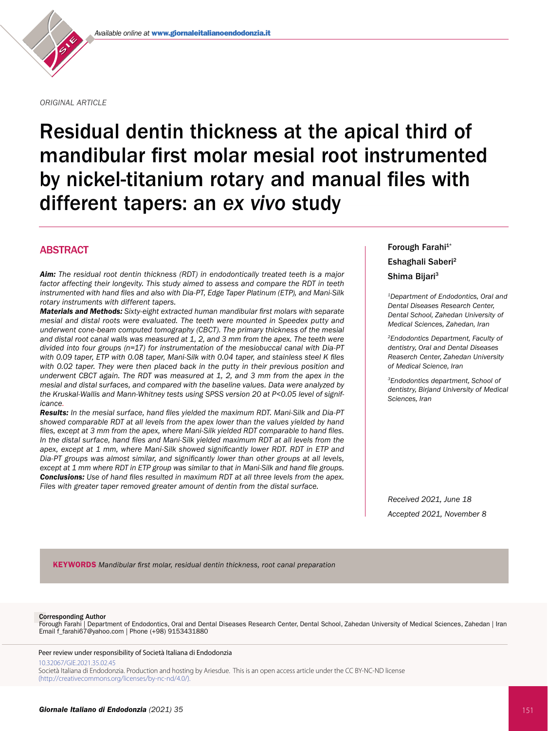*ORIGINAL ARTICLE*

# Residual dentin thickness at the apical third of mandibular first molar mesial root instrumented by nickel-titanium rotary and manual files with different tapers: an *ex vivo* study

# **ABSTRACT**

*Aim: The residual root dentin thickness (RDT) in endodontically treated teeth is a major factor affecting their longevity. This study aimed to assess and compare the RDT in teeth instrumented with hand files and also with Dia-PT, Edge Taper Platinum (ETP), and Mani-Silk rotary instruments with different tapers.* 

*Materials and Methods: Sixty-eight extracted human mandibular first molars with separate mesial and distal roots were evaluated. The teeth were mounted in Speedex putty and underwent cone-beam computed tomography (CBCT). The primary thickness of the mesial and distal root canal walls was measured at 1, 2, and 3 mm from the apex. The teeth were divided into four groups (n=17) for instrumentation of the mesiobuccal canal with Dia-PT with 0.09 taper, ETP with 0.08 taper, Mani-Silk with 0.04 taper, and stainless steel K files with 0.02 taper. They were then placed back in the putty in their previous position and underwent CBCT again. The RDT was measured at 1, 2, and 3 mm from the apex in the mesial and distal surfaces, and compared with the baseline values. Data were analyzed by the Kruskal-Wallis and Mann-Whitney tests using SPSS version 20 at P<0.05 level of significance.*

*Results: In the mesial surface, hand files yielded the maximum RDT. Mani-Silk and Dia-PT showed comparable RDT at all levels from the apex lower than the values yielded by hand files, except at 3 mm from the apex, where Mani-Silk yielded RDT comparable to hand files. In the distal surface, hand files and Mani-Silk yielded maximum RDT at all levels from the apex, except at 1 mm, where Mani-Silk showed significantly lower RDT. RDT in ETP and Dia-PT groups was almost similar, and significantly lower than other groups at all levels, except at 1 mm where RDT in ETP group was similar to that in Mani-Silk and hand file groups. Conclusions: Use of hand files resulted in maximum RDT at all three levels from the apex. Files with greater taper removed greater amount of dentin from the distal surface.* 

# Forough Farahi $1^*$ Eshaghali Saberi2 Shima Bijari<sup>3</sup>

*1Department of Endodontics, Oral and Dental Diseases Research Center, Dental School, Zahedan University of Medical Sciences, Zahedan, Iran*

*2Endodontics Department, Faculty of dentistry, Oral and Dental Diseases Reaserch Center, Zahedan University of Medical Science, Iran*

*3Endodontics department, School of dentistry, Birjand University of Medical Sciences, Iran*

*Received 2021, June 18 Accepted 2021, November 8*

KEYWORDS *Mandibular first molar, residual dentin thickness, root canal preparation*

#### Corresponding Author

Forough Farahi | Department of Endodontics, Oral and Dental Diseases Research Center, Dental School, Zahedan University of Medical Sciences, Zahedan | Iran Email f\_farahi67@yahoo.com | Phone (+98) 9153431880

Peer review under responsibility of Società Italiana di Endodonzia

10.32067/GIE.2021.35.02.45

Società Italiana di Endodonzia. Production and hosting by Ariesdue. This is an open access article under the CC BY-NC-ND license (http://creativecommons.org/licenses/by-nc-nd/4.0/).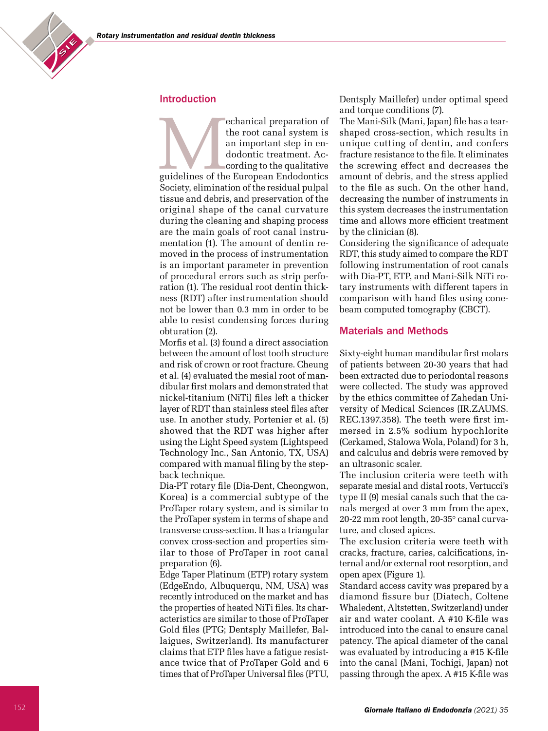

# Introduction

echanical preparation of<br>
the root canal system is<br>
an important step in en-<br>
dodontic treatment. According to the qualitative<br>
guidelines of the European Endodontics the root canal system is an important step in en dodontic treatment. Ac cording to the qualitative Society, elimination of the residual pulpal tissue and debris, and preservation of the original shape of the canal curvature during the cleaning and shaping process are the main goals of root canal instru mentation (1). The amount of dentin re moved in the process of instrumentation is an important parameter in prevention of procedural errors such as strip perfo ration (1). The residual root dentin thickness (RDT) after instrumentation should not be lower than 0.3 mm in order to be able to resist condensing forces during obturation (2).

Morfis et al. (3) found a direct association between the amount of lost tooth structure and risk of crown or root fracture. Cheung et al. (4) evaluated the mesial root of man dibular first molars and demonstrated that nickel-titanium (NiTi) files left a thicker layer of RDT than stainless steel files after use. In another study, Portenier et al. (5) showed that the RDT was higher after using the Light Speed system (Lightspeed Technology Inc., San Antonio, TX, USA) compared with manual filing by the stepback technique.

Dia-PT rotary file (Dia-Dent, Cheongwon, Korea) is a commercial subtype of the ProTaper rotary system, and is similar to the ProTaper system in terms of shape and transverse cross-section. It has a triangular convex cross-section and properties sim ilar to those of ProTaper in root canal preparation (6).

Edge Taper Platinum (ETP) rotary system (EdgeEndo, Albuquerqu, NM, USA) was recently introduced on the market and has the properties of heated NiTi files. Its char acteristics are similar to those of ProTaper Gold files (PTG; Dentsply Maillefer, Bal laigues, Switzerland). Its manufacturer claims that ETP files have a fatigue resist ance twice that of ProTaper Gold and 6 times that of ProTaper Universal files (PTU, Dentsply Maillefer) under optimal speed and torque conditions (7).

The Mani-Silk (Mani, Japan) file has a tearshaped cross-section, which results in unique cutting of dentin, and confers fracture resistance to the file. It eliminates the screwing effect and decreases the amount of debris, and the stress applied to the file as such. On the other hand, decreasing the number of instruments in this system decreases the instrumentation time and allows more efficient treatment by the clinician (8).

Considering the significance of adequate RDT, this study aimed to compare the RDT following instrumentation of root canals with Dia-PT, ETP, and Mani-Silk NiTi ro tary instruments with different tapers in comparison with hand files using conebeam computed tomography (CBCT).

# Materials and Methods

Sixty-eight human mandibular first molars of patients between 20-30 years that had been extracted due to periodontal reasons were collected. The study was approved by the ethics committee of Zahedan Uni versity of Medical Sciences (IR.ZAUMS. REC.1397.358). The teeth were first im mersed in 2.5% sodium hypochlorite (Cerkamed, Stalowa Wola, Poland) for 3 h, and calculus and debris were removed by an ultrasonic scaler.

The inclusion criteria were teeth with separate mesial and distal roots, Vertucci's type II (9) mesial canals such that the ca nals merged at over 3 mm from the apex, 20-22 mm root length, 20-35° canal curva ture, and closed apices.

The exclusion criteria were teeth with cracks, fracture, caries, calcifications, in ternal and/or external root resorption, and open apex (Figure 1).

Standard access cavity was prepared by a diamond fissure bur (Diatech, Coltene Whaledent, Altstetten, Switzerland) under air and water coolant. A #10 K-file was introduced into the canal to ensure canal patency. The apical diameter of the canal was evaluated by introducing a #15 K-file into the canal (Mani, Tochigi, Japan) not passing through the apex. A #15 K-file was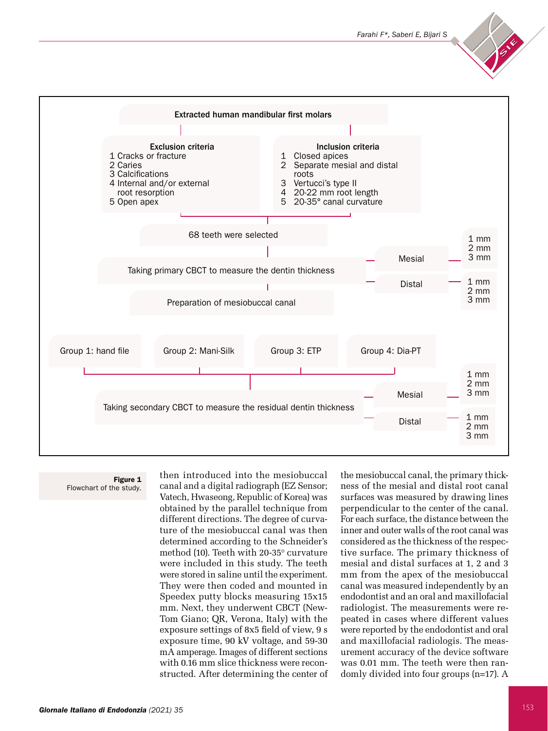



Figure 1 Flowchart of the study.

then introduced into the mesiobuccal canal and a digital radiograph (EZ Sensor; Vatech, Hwaseong, Republic of Korea) was obtained by the parallel technique from different directions. The degree of curvature of the mesiobuccal canal was then determined according to the Schneider's method (10). Teeth with 20-35° curvature were included in this study. The teeth were stored in saline until the experiment. They were then coded and mounted in Speedex putty blocks measuring 15x15 mm. Next, they underwent CBCT (New-Tom Giano; QR, Verona, Italy) with the exposure settings of 8x5 field of view, 9 s exposure time, 90 kV voltage, and 59-30 mA amperage. Images of different sections with 0.16 mm slice thickness were reconstructed. After determining the center of the mesiobuccal canal, the primary thickness of the mesial and distal root canal surfaces was measured by drawing lines perpendicular to the center of the canal. For each surface, the distance between the inner and outer walls of the root canal was considered as the thickness of the respective surface. The primary thickness of mesial and distal surfaces at 1, 2 and 3 mm from the apex of the mesiobuccal canal was measured independently by an endodontist and an oral and maxillofacial radiologist. The measurements were repeated in cases where different values were reported by the endodontist and oral and maxillofacial radiologis. The measurement accuracy of the device software was 0.01 mm. The teeth were then randomly divided into four groups (n=17). A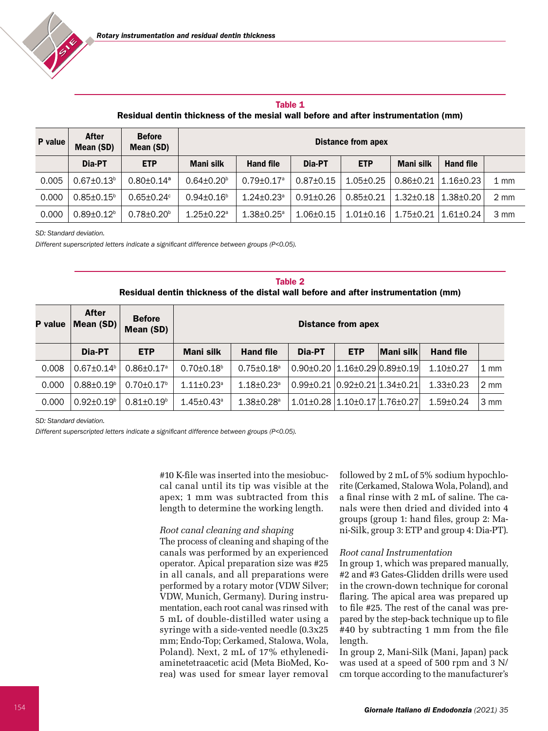Table 1 Residual dentin thickness of the mesial wall before and after instrumentation (mm)

| P value | After<br>Mean (SD)           | <b>Before</b><br>Mean (SD) | <b>Distance from apex</b>    |                              |                 |                 |                 |                  |                |
|---------|------------------------------|----------------------------|------------------------------|------------------------------|-----------------|-----------------|-----------------|------------------|----------------|
|         | Dia-PT                       | <b>ETP</b>                 | Mani silk                    | <b>Hand file</b>             | Dia-PT          | <b>ETP</b>      | Mani silk       | <b>Hand file</b> |                |
| 0.005   | $0.67 \pm 0.13$ <sup>b</sup> | $0.80 + 0.14$ <sup>a</sup> | $0.64 \pm 0.20$              | $0.79 \pm 0.17$ a            | $0.87 \pm 0.15$ | $1.05 \pm 0.25$ | $0.86 \pm 0.21$ | $1.16 + 0.23$    | $1 \text{ mm}$ |
| 0.000   | $0.85 \pm 0.15^{\circ}$      | $0.65 + 0.24$ °            | $0.94 \pm 0.16$ <sup>b</sup> | $1.24 + 0.23$ <sup>a</sup>   | $0.91 + 0.26$   | $0.85 + 0.21$   | $1.32 + 0.18$   | $1.38 + 0.20$    | 2 mm           |
| 0.000   | $0.89 + 0.12$                | $0.78 + 0.20$              | $1.25 \pm 0.22$ <sup>a</sup> | $1.38 \pm 0.25$ <sup>a</sup> | $1.06 \pm 0.15$ | $1.01 + 0.16$   | $1.75 \pm 0.21$ | $1.61 + 0.24$    | 3 mm           |

*SD: Standard deviation.*

*Different superscripted letters indicate a significant difference between groups (P<0.05).*

## Table 2 Residual dentin thickness of the distal wall before and after instrumentation (mm)

| <b>P</b> value | After<br>Mean (SD)           | <b>Before</b><br>Mean (SD)   | <b>Distance from apex</b>    |                              |                                           |                         |             |                  |                |  |
|----------------|------------------------------|------------------------------|------------------------------|------------------------------|-------------------------------------------|-------------------------|-------------|------------------|----------------|--|
|                | Dia-PT                       | <b>ETP</b>                   | Mani silk                    | <b>Hand file</b>             | Dia-PT                                    | <b>ETP</b>              | ∣Mani silk∣ | <b>Hand file</b> |                |  |
| 0.008          | $0.67 \pm 0.14^b$            | $0.86 \pm 0.17$ <sup>a</sup> | $0.70 \pm 0.18$ <sup>b</sup> | $0.75 \pm 0.18$ <sup>a</sup> | $0.90 + 0.20$                             | l 1.16±0.29 l0.89±0.19l |             | $1.10 \pm 0.27$  | 1 mm           |  |
| 0.000          | $0.88 \pm 0.19$ <sup>b</sup> | $0.70 \pm 0.17$ <sup>b</sup> | $1.11 \pm 0.23$ <sup>a</sup> | $1.18 \pm 0.23$ <sup>a</sup> | $0.99\pm0.21$ $0.92\pm0.21$ $1.34\pm0.21$ |                         |             | $1.33 + 0.23$    | $2 \text{ mm}$ |  |
| 0.000          | $0.92 \pm 0.19^{\circ}$      | $0.81 + 0.19$ <sup>b</sup>   | $1.45 \pm 0.43$ <sup>a</sup> | $1.38 \pm 0.28$ <sup>a</sup> | $1.01 + 0.28$                             | l 1.10±0.17 l1.76±0.27l |             | $1.59 + 0.24$    | 3 mm           |  |

*SD: Standard deviation.*

*Different superscripted letters indicate a significant difference between groups (P<0.05).*

#10 K-file was inserted into the mesiobuccal canal until its tip was visible at the apex; 1 mm was subtracted from this length to determine the working length.

# *Root canal cleaning and shaping*

The process of cleaning and shaping of the canals was performed by an experienced operator. Apical preparation size was #25 in all canals, and all preparations were performed by a rotary motor (VDW Silver; VDW, Munich, Germany). During instrumentation, each root canal was rinsed with 5 mL of double-distilled water using a syringe with a side-vented needle (0.3x25 mm; Endo-Top; Cerkamed, Stalowa, Wola, Poland). Next, 2 mL of 17% ethylenediaminetetraacetic acid (Meta BioMed, Korea) was used for smear layer removal

followed by 2 mL of 5% sodium hypochlorite (Cerkamed, Stalowa Wola, Poland), and a final rinse with 2 mL of saline. The canals were then dried and divided into 4 groups (group 1: hand files, group 2: Mani-Silk, group 3: ETP and group 4: Dia-PT).

#### *Root canal Instrumentation*

In group 1, which was prepared manually, #2 and #3 Gates-Glidden drills were used in the crown-down technique for coronal flaring. The apical area was prepared up to file #25. The rest of the canal was prepared by the step-back technique up to file #40 by subtracting 1 mm from the file length.

In group 2, Mani-Silk (Mani, Japan) pack was used at a speed of 500 rpm and 3 N/ cm torque according to the manufacturer's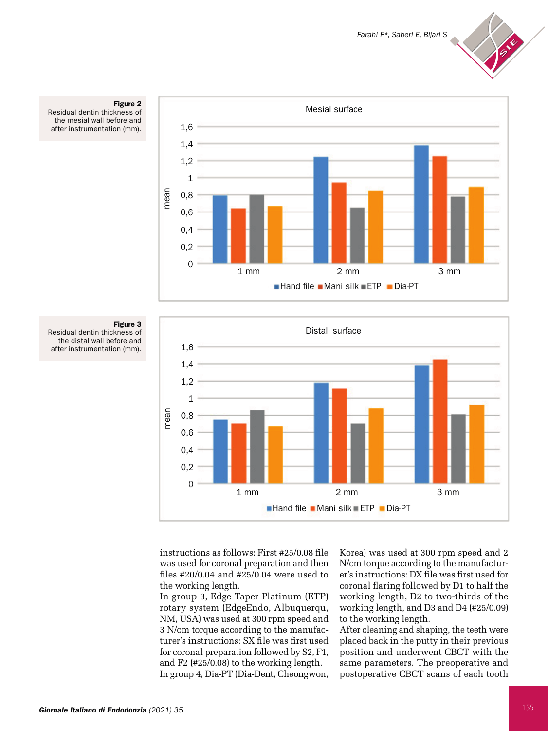



## Figure 2

Residual dentin thickness of the mesial wall before and after instrumentation (mm).



#### Figure 3

Residual dentin thickness of the distal wall before and after instrumentation (mm).

> instructions as follows: First #25/0.08 file was used for coronal preparation and then files #20/0.04 and #25/0.04 were used to the working length.

> In group 3, Edge Taper Platinum (ETP) rotary system (EdgeEndo, Albuquerqu, NM, USA) was used at 300 rpm speed and 3 N/cm torque according to the manufacturer's instructions: SX file was first used for coronal preparation followed by S2, F1, and F2 (#25/0.08) to the working length.

> In group 4, Dia-PT (Dia-Dent, Cheongwon,

Korea) was used at 300 rpm speed and 2 N/cm torque according to the manufacturer's instructions: DX file was first used for coronal flaring followed by D1 to half the working length, D2 to two-thirds of the working length, and D3 and D4 (#25/0.09) to the working length.

After cleaning and shaping, the teeth were placed back in the putty in their previous position and underwent CBCT with the same parameters. The preoperative and postoperative CBCT scans of each tooth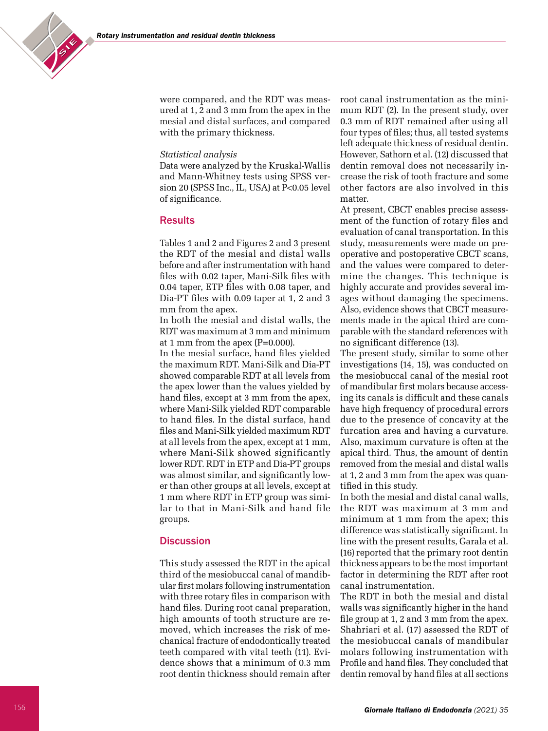

were compared, and the RDT was meas ured at 1, 2 and 3 mm from the apex in the mesial and distal surfaces, and compared with the primary thickness.

#### *Statistical analysis*

Data were analyzed by the Kruskal-Wallis and Mann-Whitney tests using SPSS ver sion 20 (SPSS Inc., IL, USA) at P<0.05 level of significance.

## Results

Tables 1 and 2 and Figures 2 and 3 present the RDT of the mesial and distal walls before and after instrumentation with hand files with 0.02 taper, Mani-Silk files with 0.04 taper, ETP files with 0.08 taper, and Dia-PT files with 0.09 taper at 1, 2 and 3 mm from the apex.

In both the mesial and distal walls, the RDT was maximum at 3 mm and minimum at 1 mm from the apex (P=0.000).

In the mesial surface, hand files yielded the maximum RDT. Mani-Silk and Dia-PT showed comparable RDT at all levels from the apex lower than the values yielded by hand files, except at 3 mm from the apex, where Mani-Silk yielded RDT comparable to hand files. In the distal surface, hand files and Mani-Silk yielded maximum RDT at all levels from the apex, except at 1 mm, where Mani-Silk showed significantly lower RDT. RDT in ETP and Dia-PT groups was almost similar, and significantly low er than other groups at all levels, except at 1 mm where RDT in ETP group was simi lar to that in Mani-Silk and hand file groups.

# **Discussion**

This study assessed the RDT in the apical third of the mesiobuccal canal of mandib ular first molars following instrumentation with three rotary files in comparison with hand files. During root canal preparation, high amounts of tooth structure are re moved, which increases the risk of me chanical fracture of endodontically treated teeth compared with vital teeth (11). Evi dence shows that a minimum of 0.3 mm root dentin thickness should remain after

root canal instrumentation as the mini mum RDT (2). In the present study, over 0.3 mm of RDT remained after using all four types of files; thus, all tested systems left adequate thickness of residual dentin. However, Sathorn et al. (12) discussed that dentin removal does not necessarily in crease the risk of tooth fracture and some other factors are also involved in this matter.

At present, CBCT enables precise assess ment of the function of rotary files and evaluation of canal transportation. In this study, measurements were made on pre operative and postoperative CBCT scans, and the values were compared to deter mine the changes. This technique is highly accurate and provides several im ages without damaging the specimens. Also, evidence shows that CBCT measure ments made in the apical third are com parable with the standard references with no significant difference (13).

The present study, similar to some other investigations (14, 15), was conducted on the mesiobuccal canal of the mesial root of mandibular first molars because access ing its canals is difficult and these canals have high frequency of procedural errors due to the presence of concavity at the furcation area and having a curvature. Also, maximum curvature is often at the apical third. Thus, the amount of dentin removed from the mesial and distal walls at 1, 2 and 3 mm from the apex was quan tified in this study.

In both the mesial and distal canal walls, the RDT was maximum at 3 mm and minimum at 1 mm from the apex; this difference was statistically significant. In line with the present results, Garala et al. (16) reported that the primary root dentin thickness appears to be the most important factor in determining the RDT after root canal instrumentation.

The RDT in both the mesial and distal walls was significantly higher in the hand file group at 1, 2 and 3 mm from the apex. Shahriari et al. (17) assessed the RDT of the mesiobuccal canals of mandibular molars following instrumentation with Profile and hand files. They concluded that dentin removal by hand files at all sections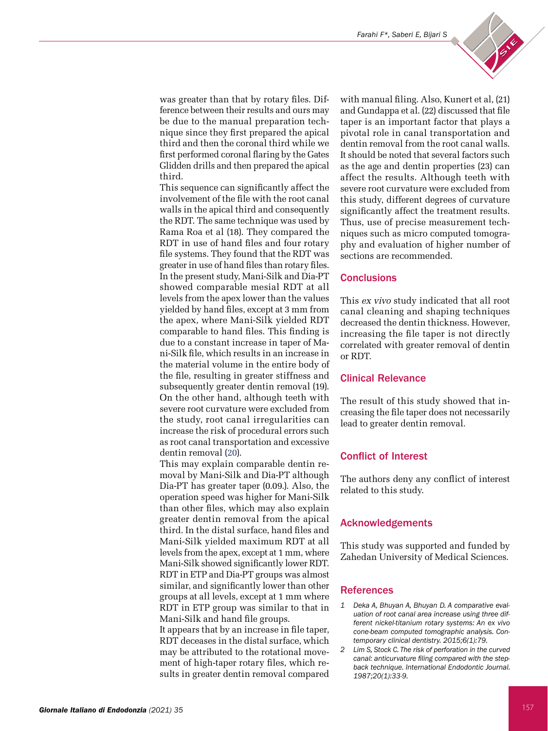

was greater than that by rotary files. Difference between their results and ours may be due to the manual preparation technique since they first prepared the apical third and then the coronal third while we first performed coronal flaring by the Gates Glidden drills and then prepared the apical third.

This sequence can significantly affect the involvement of the file with the root canal walls in the apical third and consequently the RDT. The same technique was used by Rama Roa et al (18). They compared the RDT in use of hand files and four rotary file systems. They found that the RDT was greater in use of hand files than rotary files. In the present study, Mani-Silk and Dia-PT showed comparable mesial RDT at all levels from the apex lower than the values yielded by hand files, except at 3 mm from the apex, where Mani-Silk yielded RDT comparable to hand files. This finding is due to a constant increase in taper of Mani-Silk file, which results in an increase in the material volume in the entire body of the file, resulting in greater stiffness and subsequently greater dentin removal (19). On the other hand, although teeth with severe root curvature were excluded from the study, root canal irregularities can increase the risk of procedural errors such as root canal transportation and excessive dentin removal (20).

This may explain comparable dentin removal by Mani-Silk and Dia-PT although Dia-PT has greater taper (0.09.). Also, the operation speed was higher for Mani-Silk than other files, which may also explain greater dentin removal from the apical third. In the distal surface, hand files and Mani-Silk yielded maximum RDT at all levels from the apex, except at 1 mm, where Mani-Silk showed significantly lower RDT. RDT in ETP and Dia-PT groups was almost similar, and significantly lower than other groups at all levels, except at 1 mm where RDT in ETP group was similar to that in Mani-Silk and hand file groups.

It appears that by an increase in file taper, RDT deceases in the distal surface, which may be attributed to the rotational movement of high-taper rotary files, which results in greater dentin removal compared

with manual filing. Also, Kunert et al, (21) and Gundappa et al. (22) discussed that file taper is an important factor that plays a pivotal role in canal transportation and dentin removal from the root canal walls. It should be noted that several factors such as the age and dentin properties (23) can affect the results. Although teeth with severe root curvature were excluded from this study, different degrees of curvature significantly affect the treatment results. Thus, use of precise measurement techniques such as micro computed tomography and evaluation of higher number of sections are recommended.

# **Conclusions**

This *ex vivo* study indicated that all root canal cleaning and shaping techniques decreased the dentin thickness. However, increasing the file taper is not directly correlated with greater removal of dentin or RDT.

# Clinical Relevance

The result of this study showed that increasing the file taper does not necessarily lead to greater dentin removal.

# Conflict of Interest

The authors deny any conflict of interest related to this study.

# Acknowledgements

This study was supported and funded by Zahedan University of Medical Sciences.

# **References**

- *1 Deka A, Bhuyan A, Bhuyan D. A comparative evaluation of root canal area increase using three different nickel-titanium rotary systems: An ex vivo cone-beam computed tomographic analysis. Contemporary clinical dentistry. 2015;6(1):79.*
- *2 Lim S, Stock C. The risk of perforation in the curved canal: anticurvature filing compared with the stepback technique. International Endodontic Journal. 1987;20(1):33-9.*